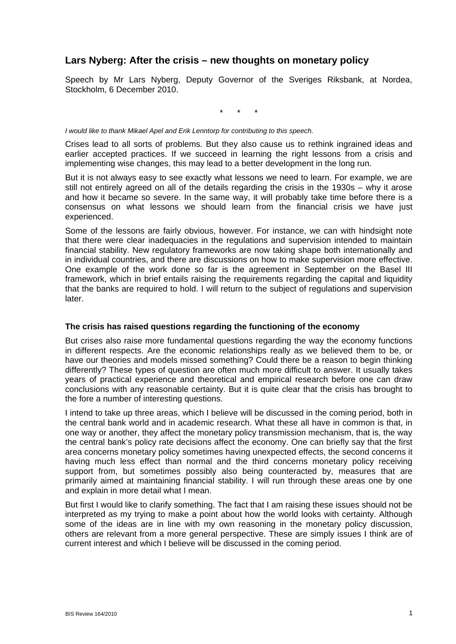# **Lars Nyberg: After the crisis – new thoughts on monetary policy**

Speech by Mr Lars Nyberg, Deputy Governor of the Sveriges Riksbank, at Nordea, Stockholm, 6 December 2010.

\* \* \*

*I would like to thank Mikael Apel and Erik Lenntorp for contributing to this speech.* 

Crises lead to all sorts of problems. But they also cause us to rethink ingrained ideas and earlier accepted practices. If we succeed in learning the right lessons from a crisis and implementing wise changes, this may lead to a better development in the long run.

But it is not always easy to see exactly what lessons we need to learn. For example, we are still not entirely agreed on all of the details regarding the crisis in the 1930s – why it arose and how it became so severe. In the same way, it will probably take time before there is a consensus on what lessons we should learn from the financial crisis we have just experienced.

Some of the lessons are fairly obvious, however. For instance, we can with hindsight note that there were clear inadequacies in the regulations and supervision intended to maintain financial stability. New regulatory frameworks are now taking shape both internationally and in individual countries, and there are discussions on how to make supervision more effective. One example of the work done so far is the agreement in September on the Basel III framework, which in brief entails raising the requirements regarding the capital and liquidity that the banks are required to hold. I will return to the subject of regulations and supervision later.

#### **The crisis has raised questions regarding the functioning of the economy**

But crises also raise more fundamental questions regarding the way the economy functions in different respects. Are the economic relationships really as we believed them to be, or have our theories and models missed something? Could there be a reason to begin thinking differently? These types of question are often much more difficult to answer. It usually takes years of practical experience and theoretical and empirical research before one can draw conclusions with any reasonable certainty. But it is quite clear that the crisis has brought to the fore a number of interesting questions.

I intend to take up three areas, which I believe will be discussed in the coming period, both in the central bank world and in academic research. What these all have in common is that, in one way or another, they affect the monetary policy transmission mechanism, that is, the way the central bank's policy rate decisions affect the economy. One can briefly say that the first area concerns monetary policy sometimes having unexpected effects, the second concerns it having much less effect than normal and the third concerns monetary policy receiving support from, but sometimes possibly also being counteracted by, measures that are primarily aimed at maintaining financial stability. I will run through these areas one by one and explain in more detail what I mean.

But first I would like to clarify something. The fact that I am raising these issues should not be interpreted as my trying to make a point about how the world looks with certainty. Although some of the ideas are in line with my own reasoning in the monetary policy discussion, others are relevant from a more general perspective. These are simply issues I think are of current interest and which I believe will be discussed in the coming period.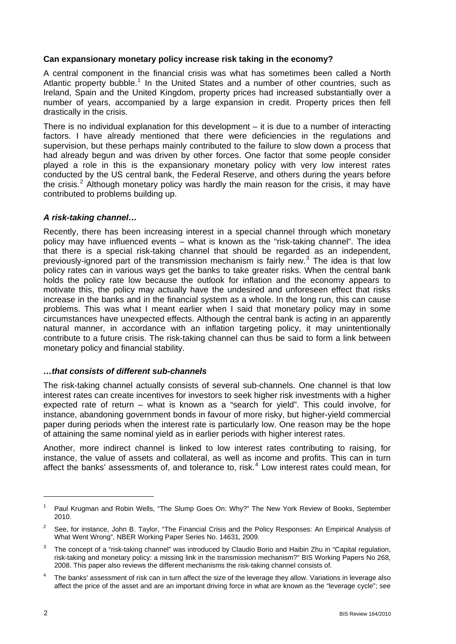### **Can expansionary monetary policy increase risk taking in the economy?**

A central component in the financial crisis was what has sometimes been called a North Atlantic property bubble.<sup>[1](#page-1-0)</sup> In the United States and a number of other countries, such as Ireland, Spain and the United Kingdom, property prices had increased substantially over a number of years, accompanied by a large expansion in credit. Property prices then fell drastically in the crisis.

There is no individual explanation for this development – it is due to a number of interacting factors. I have already mentioned that there were deficiencies in the regulations and supervision, but these perhaps mainly contributed to the failure to slow down a process that had already begun and was driven by other forces. One factor that some people consider played a role in this is the expansionary monetary policy with very low interest rates conducted by the US central bank, the Federal Reserve, and others during the years before the crisis.<sup>[2](#page-1-1)</sup> Although monetary policy was hardly the main reason for the crisis, it may have contributed to problems building up.

### *A risk-taking channel…*

Recently, there has been increasing interest in a special channel through which monetary policy may have influenced events – what is known as the "risk-taking channel". The idea that there is a special risk-taking channel that should be regarded as an independent, previously-ignored part of the transmission mechanism is fairly new.<sup>[3](#page-1-2)</sup> The idea is that low policy rates can in various ways get the banks to take greater risks. When the central bank holds the policy rate low because the outlook for inflation and the economy appears to motivate this, the policy may actually have the undesired and unforeseen effect that risks increase in the banks and in the financial system as a whole. In the long run, this can cause problems. This was what I meant earlier when I said that monetary policy may in some circumstances have unexpected effects. Although the central bank is acting in an apparently natural manner, in accordance with an inflation targeting policy, it may unintentionally contribute to a future crisis. The risk-taking channel can thus be said to form a link between monetary policy and financial stability.

#### *…that consists of different sub-channels*

The risk-taking channel actually consists of several sub-channels. One channel is that low interest rates can create incentives for investors to seek higher risk investments with a higher expected rate of return – what is known as a "search for yield". This could involve, for instance, abandoning government bonds in favour of more risky, but higher-yield commercial paper during periods when the interest rate is particularly low. One reason may be the hope of attaining the same nominal yield as in earlier periods with higher interest rates.

Another, more indirect channel is linked to low interest rates contributing to raising, for instance, the value of assets and collateral, as well as income and profits. This can in turn affect the banks' assessments of, and tolerance to, risk.<sup>[4](#page-1-3)</sup> Low interest rates could mean, for

<span id="page-1-0"></span><sup>1</sup> Paul Krugman and Robin Wells, "The Slump Goes On: Why?" The New York Review of Books, September 2010.

<span id="page-1-1"></span><sup>2</sup> See, for instance, John B. Taylor, "The Financial Crisis and the Policy Responses: An Empirical Analysis of What Went Wrong", NBER Working Paper Series No. 14631, 2009.

<span id="page-1-2"></span><sup>3</sup> The concept of a "risk-taking channel" was introduced by Claudio Borio and Haibin Zhu in "Capital regulation, risk-taking and monetary policy: a missing link in the transmission mechanism?" BIS Working Papers No 268, 2008. This paper also reviews the different mechanisms the risk-taking channel consists of.

<span id="page-1-3"></span><sup>4</sup> The banks' assessment of risk can in turn affect the size of the leverage they allow. Variations in leverage also affect the price of the asset and are an important driving force in what are known as the "leverage cycle"; see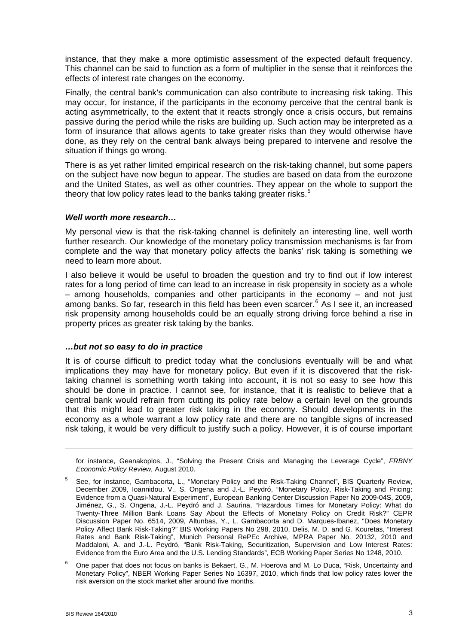instance, that they make a more optimistic assessment of the expected default frequency. This channel can be said to function as a form of multiplier in the sense that it reinforces the effects of interest rate changes on the economy.

Finally, the central bank's communication can also contribute to increasing risk taking. This may occur, for instance, if the participants in the economy perceive that the central bank is acting asymmetrically, to the extent that it reacts strongly once a crisis occurs, but remains passive during the period while the risks are building up. Such action may be interpreted as a form of insurance that allows agents to take greater risks than they would otherwise have done, as they rely on the central bank always being prepared to intervene and resolve the situation if things go wrong.

There is as yet rather limited empirical research on the risk-taking channel, but some papers on the subject have now begun to appear. The studies are based on data from the eurozone and the United States, as well as other countries. They appear on the whole to support the theory that low policy rates lead to the banks taking greater risks. $5$ 

### *Well worth more research…*

My personal view is that the risk-taking channel is definitely an interesting line, well worth further research. Our knowledge of the monetary policy transmission mechanisms is far from complete and the way that monetary policy affects the banks' risk taking is something we need to learn more about.

I also believe it would be useful to broaden the question and try to find out if low interest rates for a long period of time can lead to an increase in risk propensity in society as a whole – among households, companies and other participants in the economy – and not just among banks. So far, research in this field has been even scarcer.<sup>[6](#page-2-1)</sup> As I see it, an increased risk propensity among households could be an equally strong driving force behind a rise in property prices as greater risk taking by the banks.

#### *…but not so easy to do in practice*

It is of course difficult to predict today what the conclusions eventually will be and what implications they may have for monetary policy. But even if it is discovered that the risktaking channel is something worth taking into account, it is not so easy to see how this should be done in practice. I cannot see, for instance, that it is realistic to believe that a central bank would refrain from cutting its policy rate below a certain level on the grounds that this might lead to greater risk taking in the economy. Should developments in the economy as a whole warrant a low policy rate and there are no tangible signs of increased risk taking, it would be very difficult to justify such a policy. However, it is of course important

for instance, Geanakoplos, J., "Solving the Present Crisis and Managing the Leverage Cycle", *FRBNY Economic Policy Review,* August 2010.

 $\overline{a}$ 

<span id="page-2-0"></span><sup>5</sup> See, for instance, Gambacorta, L., "Monetary Policy and the Risk-Taking Channel", BIS Quarterly Review, December 2009, Ioannidou, V., S. Ongena and J.-L. Peydró, "Monetary Policy, Risk-Taking and Pricing: Evidence from a Quasi-Natural Experiment", European Banking Center Discussion Paper No 2009-04S, 2009, Jiménez, G., S. Ongena, J.-L. Peydró and J. Saurina, "Hazardous Times for Monetary Policy: What do Twenty-Three Million Bank Loans Say About the Effects of Monetary Policy on Credit Risk?" CEPR Discussion Paper No. 6514, 2009, Altunbas, Y., L. Gambacorta and D. Marques-Ibanez, "Does Monetary Policy Affect Bank Risk-Taking?" BIS Working Papers No 298, 2010, Delis, M. D. and G. Kouretas, "Interest Rates and Bank Risk-Taking", Munich Personal RePEc Archive, MPRA Paper No. 20132, 2010 and Maddaloni, A. and J.-L. Peydró, "Bank Risk-Taking, Securitization, Supervision and Low Interest Rates: Evidence from the Euro Area and the U.S. Lending Standards", ECB Working Paper Series No 1248, 2010.

<span id="page-2-1"></span><sup>6</sup> One paper that does not focus on banks is Bekaert, G., M. Hoerova and M. Lo Duca, "Risk, Uncertainty and Monetary Policy", NBER Working Paper Series No 16397, 2010, which finds that low policy rates lower the risk aversion on the stock market after around five months.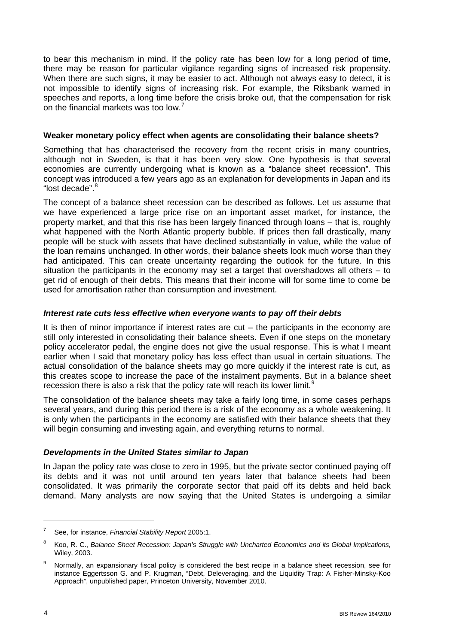to bear this mechanism in mind. If the policy rate has been low for a long period of time, there may be reason for particular vigilance regarding signs of increased risk propensity. When there are such signs, it may be easier to act. Although not always easy to detect, it is not impossible to identify signs of increasing risk. For example, the Riksbank warned in speeches and reports, a long time before the crisis broke out, that the compensation for risk on the financial markets was too low.[7](#page-3-0)

### **Weaker monetary policy effect when agents are consolidating their balance sheets?**

Something that has characterised the recovery from the recent crisis in many countries, although not in Sweden, is that it has been very slow. One hypothesis is that several economies are currently undergoing what is known as a "balance sheet recession". This concept was introduced a few years ago as an explanation for developments in Japan and its "lost decade" [8](#page-3-1)

The concept of a balance sheet recession can be described as follows. Let us assume that we have experienced a large price rise on an important asset market, for instance, the property market, and that this rise has been largely financed through loans – that is, roughly what happened with the North Atlantic property bubble. If prices then fall drastically, many people will be stuck with assets that have declined substantially in value, while the value of the loan remains unchanged. In other words, their balance sheets look much worse than they had anticipated. This can create uncertainty regarding the outlook for the future. In this situation the participants in the economy may set a target that overshadows all others – to get rid of enough of their debts. This means that their income will for some time to come be used for amortisation rather than consumption and investment.

# *Interest rate cuts less effective when everyone wants to pay off their debts*

It is then of minor importance if interest rates are  $cut -$  the participants in the economy are still only interested in consolidating their balance sheets. Even if one steps on the monetary policy accelerator pedal, the engine does not give the usual response. This is what I meant earlier when I said that monetary policy has less effect than usual in certain situations. The actual consolidation of the balance sheets may go more quickly if the interest rate is cut, as this creates scope to increase the pace of the instalment payments. But in a balance sheet recession there is also a risk that the policy rate will reach its lower limit.<sup>[9](#page-3-2)</sup>

The consolidation of the balance sheets may take a fairly long time, in some cases perhaps several years, and during this period there is a risk of the economy as a whole weakening. It is only when the participants in the economy are satisfied with their balance sheets that they will begin consuming and investing again, and everything returns to normal.

# *Developments in the United States similar to Japan*

In Japan the policy rate was close to zero in 1995, but the private sector continued paying off its debts and it was not until around ten years later that balance sheets had been consolidated. It was primarily the corporate sector that paid off its debts and held back demand. Many analysts are now saying that the United States is undergoing a similar

 $\overline{a}$ 

<span id="page-3-0"></span><sup>7</sup> See, for instance, *Financial Stability Report* 2005:1.

<span id="page-3-1"></span><sup>8</sup> Koo, R. C., *Balance Sheet Recession: Japan's Struggle with Uncharted Economics and its Global Implications*, Wiley, 2003.

<span id="page-3-2"></span><sup>9</sup> Normally, an expansionary fiscal policy is considered the best recipe in a balance sheet recession, see for instance Eggertsson G. and P. Krugman, "Debt, Deleveraging, and the Liquidity Trap: A Fisher-Minsky-Koo Approach", unpublished paper, Princeton University, November 2010.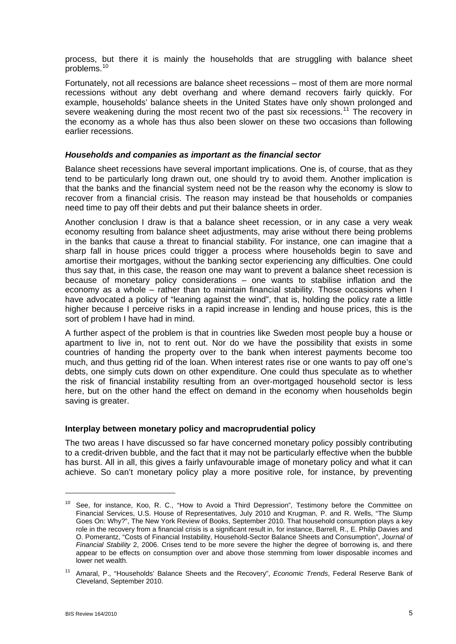process, but there it is mainly the households that are struggling with balance sheet problems.[10](#page-4-0)

Fortunately, not all recessions are balance sheet recessions – most of them are more normal recessions without any debt overhang and where demand recovers fairly quickly. For example, households' balance sheets in the United States have only shown prolonged and severe weakening during the most recent two of the past six recessions.<sup>[11](#page-4-1)</sup> The recovery in the economy as a whole has thus also been slower on these two occasions than following earlier recessions.

#### *Households and companies as important as the financial sector*

Balance sheet recessions have several important implications. One is, of course, that as they tend to be particularly long drawn out, one should try to avoid them. Another implication is that the banks and the financial system need not be the reason why the economy is slow to recover from a financial crisis. The reason may instead be that households or companies need time to pay off their debts and put their balance sheets in order.

Another conclusion I draw is that a balance sheet recession, or in any case a very weak economy resulting from balance sheet adjustments, may arise without there being problems in the banks that cause a threat to financial stability. For instance, one can imagine that a sharp fall in house prices could trigger a process where households begin to save and amortise their mortgages, without the banking sector experiencing any difficulties. One could thus say that, in this case, the reason one may want to prevent a balance sheet recession is because of monetary policy considerations – one wants to stabilise inflation and the economy as a whole – rather than to maintain financial stability. Those occasions when I have advocated a policy of "leaning against the wind", that is, holding the policy rate a little higher because I perceive risks in a rapid increase in lending and house prices, this is the sort of problem I have had in mind.

A further aspect of the problem is that in countries like Sweden most people buy a house or apartment to live in, not to rent out. Nor do we have the possibility that exists in some countries of handing the property over to the bank when interest payments become too much, and thus getting rid of the loan. When interest rates rise or one wants to pay off one's debts, one simply cuts down on other expenditure. One could thus speculate as to whether the risk of financial instability resulting from an over-mortgaged household sector is less here, but on the other hand the effect on demand in the economy when households begin saving is greater.

# **Interplay between monetary policy and macroprudential policy**

The two areas I have discussed so far have concerned monetary policy possibly contributing to a credit-driven bubble, and the fact that it may not be particularly effective when the bubble has burst. All in all, this gives a fairly unfavourable image of monetary policy and what it can achieve. So can't monetary policy play a more positive role, for instance, by preventing

1

<span id="page-4-0"></span><sup>&</sup>lt;sup>10</sup> See, for instance, Koo, R. C., "How to Avoid a Third Depression", Testimony before the Committee on Financial Services, U.S. House of Representatives, July 2010 and Krugman, P. and R. Wells, "The Slump Goes On: Why?", The New York Review of Books, September 2010. That household consumption plays a key role in the recovery from a financial crisis is a significant result in, for instance, Barrell, R., E. Philip Davies and O. Pomerantz, "Costs of Financial Instability, Household-Sector Balance Sheets and Consumption", *Journal of Financial Stability* 2, 2006. Crises tend to be more severe the higher the degree of borrowing is, and there appear to be effects on consumption over and above those stemming from lower disposable incomes and lower net wealth.

<span id="page-4-1"></span><sup>11</sup> Amaral, P., "Households' Balance Sheets and the Recovery", *Economic Trends*, Federal Reserve Bank of Cleveland, September 2010.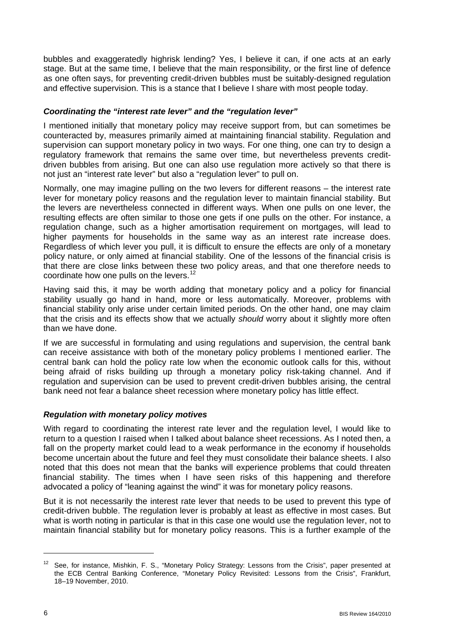bubbles and exaggeratedly highrisk lending? Yes, I believe it can, if one acts at an early stage. But at the same time, I believe that the main responsibility, or the first line of defence as one often says, for preventing credit-driven bubbles must be suitably-designed regulation and effective supervision. This is a stance that I believe I share with most people today.

# *Coordinating the "interest rate lever" and the "regulation lever"*

I mentioned initially that monetary policy may receive support from, but can sometimes be counteracted by, measures primarily aimed at maintaining financial stability. Regulation and supervision can support monetary policy in two ways. For one thing, one can try to design a regulatory framework that remains the same over time, but nevertheless prevents creditdriven bubbles from arising. But one can also use regulation more actively so that there is not just an "interest rate lever" but also a "regulation lever" to pull on.

Normally, one may imagine pulling on the two levers for different reasons – the interest rate lever for monetary policy reasons and the regulation lever to maintain financial stability. But the levers are nevertheless connected in different ways. When one pulls on one lever, the resulting effects are often similar to those one gets if one pulls on the other. For instance, a regulation change, such as a higher amortisation requirement on mortgages, will lead to higher payments for households in the same way as an interest rate increase does. Regardless of which lever you pull, it is difficult to ensure the effects are only of a monetary policy nature, or only aimed at financial stability. One of the lessons of the financial crisis is that there are close links between these two policy areas, and that one therefore needs to coordinate how one pulls on the levers.<sup>[12](#page-5-0)</sup>

Having said this, it may be worth adding that monetary policy and a policy for financial stability usually go hand in hand, more or less automatically. Moreover, problems with financial stability only arise under certain limited periods. On the other hand, one may claim that the crisis and its effects show that we actually *should* worry about it slightly more often than we have done.

If we are successful in formulating and using regulations and supervision, the central bank can receive assistance with both of the monetary policy problems I mentioned earlier. The central bank can hold the policy rate low when the economic outlook calls for this, without being afraid of risks building up through a monetary policy risk-taking channel. And if regulation and supervision can be used to prevent credit-driven bubbles arising, the central bank need not fear a balance sheet recession where monetary policy has little effect.

# *Regulation with monetary policy motives*

With regard to coordinating the interest rate lever and the regulation level, I would like to return to a question I raised when I talked about balance sheet recessions. As I noted then, a fall on the property market could lead to a weak performance in the economy if households become uncertain about the future and feel they must consolidate their balance sheets. I also noted that this does not mean that the banks will experience problems that could threaten financial stability. The times when I have seen risks of this happening and therefore advocated a policy of "leaning against the wind" it was for monetary policy reasons.

But it is not necessarily the interest rate lever that needs to be used to prevent this type of credit-driven bubble. The regulation lever is probably at least as effective in most cases. But what is worth noting in particular is that in this case one would use the regulation lever, not to maintain financial stability but for monetary policy reasons. This is a further example of the

<span id="page-5-0"></span><sup>&</sup>lt;sup>12</sup> See, for instance, Mishkin, F. S., "Monetary Policy Strategy: Lessons from the Crisis", paper presented at the ECB Central Banking Conference, "Monetary Policy Revisited: Lessons from the Crisis", Frankfurt, 18–19 November, 2010.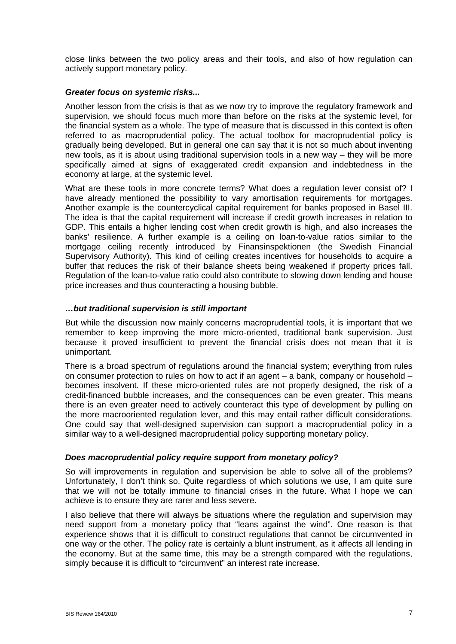close links between the two policy areas and their tools, and also of how regulation can actively support monetary policy.

### *Greater focus on systemic risks...*

Another lesson from the crisis is that as we now try to improve the regulatory framework and supervision, we should focus much more than before on the risks at the systemic level, for the financial system as a whole. The type of measure that is discussed in this context is often referred to as macroprudential policy. The actual toolbox for macroprudential policy is gradually being developed. But in general one can say that it is not so much about inventing new tools, as it is about using traditional supervision tools in a new way – they will be more specifically aimed at signs of exaggerated credit expansion and indebtedness in the economy at large, at the systemic level.

What are these tools in more concrete terms? What does a regulation lever consist of? I have already mentioned the possibility to vary amortisation requirements for mortgages. Another example is the countercyclical capital requirement for banks proposed in Basel III. The idea is that the capital requirement will increase if credit growth increases in relation to GDP. This entails a higher lending cost when credit growth is high, and also increases the banks' resilience. A further example is a ceiling on loan-to-value ratios similar to the mortgage ceiling recently introduced by Finansinspektionen (the Swedish Financial Supervisory Authority). This kind of ceiling creates incentives for households to acquire a buffer that reduces the risk of their balance sheets being weakened if property prices fall. Regulation of the loan-to-value ratio could also contribute to slowing down lending and house price increases and thus counteracting a housing bubble.

### *…but traditional supervision is still important*

But while the discussion now mainly concerns macroprudential tools, it is important that we remember to keep improving the more micro-oriented, traditional bank supervision. Just because it proved insufficient to prevent the financial crisis does not mean that it is unimportant.

There is a broad spectrum of regulations around the financial system; everything from rules on consumer protection to rules on how to act if an agent – a bank, company or household – becomes insolvent. If these micro-oriented rules are not properly designed, the risk of a credit-financed bubble increases, and the consequences can be even greater. This means there is an even greater need to actively counteract this type of development by pulling on the more macrooriented regulation lever, and this may entail rather difficult considerations. One could say that well-designed supervision can support a macroprudential policy in a similar way to a well-designed macroprudential policy supporting monetary policy.

#### *Does macroprudential policy require support from monetary policy?*

So will improvements in regulation and supervision be able to solve all of the problems? Unfortunately, I don't think so. Quite regardless of which solutions we use, I am quite sure that we will not be totally immune to financial crises in the future. What I hope we can achieve is to ensure they are rarer and less severe.

I also believe that there will always be situations where the regulation and supervision may need support from a monetary policy that "leans against the wind". One reason is that experience shows that it is difficult to construct regulations that cannot be circumvented in one way or the other. The policy rate is certainly a blunt instrument, as it affects all lending in the economy. But at the same time, this may be a strength compared with the regulations, simply because it is difficult to "circumvent" an interest rate increase.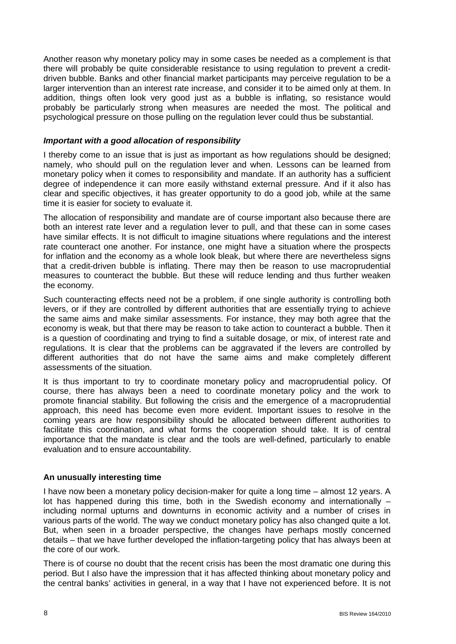Another reason why monetary policy may in some cases be needed as a complement is that there will probably be quite considerable resistance to using regulation to prevent a creditdriven bubble. Banks and other financial market participants may perceive regulation to be a larger intervention than an interest rate increase, and consider it to be aimed only at them. In addition, things often look very good just as a bubble is inflating, so resistance would probably be particularly strong when measures are needed the most. The political and psychological pressure on those pulling on the regulation lever could thus be substantial.

### *Important with a good allocation of responsibility*

I thereby come to an issue that is just as important as how regulations should be designed; namely, who should pull on the regulation lever and when. Lessons can be learned from monetary policy when it comes to responsibility and mandate. If an authority has a sufficient degree of independence it can more easily withstand external pressure. And if it also has clear and specific objectives, it has greater opportunity to do a good job, while at the same time it is easier for society to evaluate it.

The allocation of responsibility and mandate are of course important also because there are both an interest rate lever and a regulation lever to pull, and that these can in some cases have similar effects. It is not difficult to imagine situations where regulations and the interest rate counteract one another. For instance, one might have a situation where the prospects for inflation and the economy as a whole look bleak, but where there are nevertheless signs that a credit-driven bubble is inflating. There may then be reason to use macroprudential measures to counteract the bubble. But these will reduce lending and thus further weaken the economy.

Such counteracting effects need not be a problem, if one single authority is controlling both levers, or if they are controlled by different authorities that are essentially trying to achieve the same aims and make similar assessments. For instance, they may both agree that the economy is weak, but that there may be reason to take action to counteract a bubble. Then it is a question of coordinating and trying to find a suitable dosage, or mix, of interest rate and regulations. It is clear that the problems can be aggravated if the levers are controlled by different authorities that do not have the same aims and make completely different assessments of the situation.

It is thus important to try to coordinate monetary policy and macroprudential policy. Of course, there has always been a need to coordinate monetary policy and the work to promote financial stability. But following the crisis and the emergence of a macroprudential approach, this need has become even more evident. Important issues to resolve in the coming years are how responsibility should be allocated between different authorities to facilitate this coordination, and what forms the cooperation should take. It is of central importance that the mandate is clear and the tools are well-defined, particularly to enable evaluation and to ensure accountability.

# **An unusually interesting time**

I have now been a monetary policy decision-maker for quite a long time – almost 12 years. A lot has happened during this time, both in the Swedish economy and internationally – including normal upturns and downturns in economic activity and a number of crises in various parts of the world. The way we conduct monetary policy has also changed quite a lot. But, when seen in a broader perspective, the changes have perhaps mostly concerned details – that we have further developed the inflation-targeting policy that has always been at the core of our work.

There is of course no doubt that the recent crisis has been the most dramatic one during this period. But I also have the impression that it has affected thinking about monetary policy and the central banks' activities in general, in a way that I have not experienced before. It is not